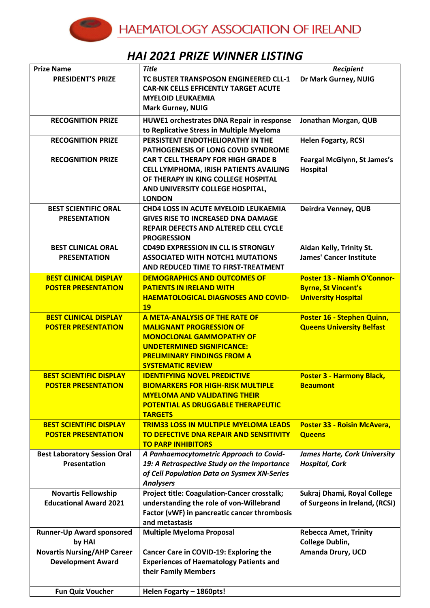## *HAI 2021 PRIZE WINNER LISTING*

| <b>Prize Name</b>                   | <b>Title</b>                                        | Recipient                           |
|-------------------------------------|-----------------------------------------------------|-------------------------------------|
| <b>PRESIDENT'S PRIZE</b>            | TC BUSTER TRANSPOSON ENGINEERED CLL-1               | Dr Mark Gurney, NUIG                |
|                                     | <b>CAR-NK CELLS EFFICENTLY TARGET ACUTE</b>         |                                     |
|                                     | <b>MYELOID LEUKAEMIA</b>                            |                                     |
|                                     | <b>Mark Gurney, NUIG</b>                            |                                     |
| <b>RECOGNITION PRIZE</b>            | HUWE1 orchestrates DNA Repair in response           | Jonathan Morgan, QUB                |
|                                     | to Replicative Stress in Multiple Myeloma           |                                     |
| <b>RECOGNITION PRIZE</b>            | PERSISTENT ENDOTHELIOPATHY IN THE                   | <b>Helen Fogarty, RCSI</b>          |
|                                     | PATHOGENESIS OF LONG COVID SYNDROME                 |                                     |
| <b>RECOGNITION PRIZE</b>            | <b>CAR T CELL THERAPY FOR HIGH GRADE B</b>          | Feargal McGlynn, St James's         |
|                                     | CELL LYMPHOMA, IRISH PATIENTS AVAILING              | Hospital                            |
|                                     | OF THERAPY IN KING COLLEGE HOSPITAL                 |                                     |
|                                     | AND UNIVERSITY COLLEGE HOSPITAL,                    |                                     |
|                                     | <b>LONDON</b>                                       |                                     |
| <b>BEST SCIENTIFIC ORAL</b>         | <b>CHD4 LOSS IN ACUTE MYELOID LEUKAEMIA</b>         | Deirdra Venney, QUB                 |
| <b>PRESENTATION</b>                 | <b>GIVES RISE TO INCREASED DNA DAMAGE</b>           |                                     |
|                                     | REPAIR DEFECTS AND ALTERED CELL CYCLE               |                                     |
|                                     | <b>PROGRESSION</b>                                  |                                     |
| <b>BEST CLINICAL ORAL</b>           | <b>CD49D EXPRESSION IN CLL IS STRONGLY</b>          | Aidan Kelly, Trinity St.            |
| <b>PRESENTATION</b>                 | <b>ASSOCIATED WITH NOTCH1 MUTATIONS</b>             | <b>James' Cancer Institute</b>      |
|                                     | AND REDUCED TIME TO FIRST-TREATMENT                 |                                     |
| <b>BEST CLINICAL DISPLAY</b>        | <b>DEMOGRAPHICS AND OUTCOMES OF</b>                 | <b>Poster 13 - Niamh O'Connor-</b>  |
| <b>POSTER PRESENTATION</b>          | <b>PATIENTS IN IRELAND WITH</b>                     | <b>Byrne, St Vincent's</b>          |
|                                     | <b>HAEMATOLOGICAL DIAGNOSES AND COVID-</b>          | <b>University Hospital</b>          |
|                                     | <b>19</b>                                           |                                     |
| <b>BEST CLINICAL DISPLAY</b>        | <b>A META-ANALYSIS OF THE RATE OF</b>               | Poster 16 - Stephen Quinn,          |
| <b>POSTER PRESENTATION</b>          | <b>MALIGNANT PROGRESSION OF</b>                     | <b>Queens University Belfast</b>    |
|                                     | <b>MONOCLONAL GAMMOPATHY OF</b>                     |                                     |
|                                     | <b>UNDETERMINED SIGNIFICANCE:</b>                   |                                     |
|                                     | <b>PRELIMINARY FINDINGS FROM A</b>                  |                                     |
|                                     | <b>SYSTEMATIC REVIEW</b>                            |                                     |
| <b>BEST SCIENTIFIC DISPLAY</b>      | <b>IDENTIFYING NOVEL PREDICTIVE</b>                 | <b>Poster 3 - Harmony Black,</b>    |
| <b>POSTER PRESENTATION</b>          | <b>BIOMARKERS FOR HIGH-RISK MULTIPLE</b>            | <b>Beaumont</b>                     |
|                                     | <b>MYELOMA AND VALIDATING THEIR</b>                 |                                     |
|                                     | <b>POTENTIAL AS DRUGGABLE THERAPEUTIC</b>           |                                     |
|                                     | <b>TARGETS</b>                                      |                                     |
| <b>BEST SCIENTIFIC DISPLAY</b>      | <b>TRIM33 LOSS IN MULTIPLE MYELOMA LEADS</b>        | <b>Poster 33 - Roisin McAvera,</b>  |
| <b>POSTER PRESENTATION</b>          | TO DEFECTIVE DNA REPAIR AND SENSITIVITY             | <b>Queens</b>                       |
|                                     | <b>TO PARP INHIBITORS</b>                           |                                     |
| <b>Best Laboratory Session Oral</b> | A Panhaemocytometric Approach to Covid-             | <b>James Harte, Cork University</b> |
| <b>Presentation</b>                 | 19: A Retrospective Study on the Importance         | <b>Hospital, Cork</b>               |
|                                     | of Cell Population Data on Sysmex XN-Series         |                                     |
|                                     | <b>Analysers</b>                                    |                                     |
| <b>Novartis Fellowship</b>          | <b>Project title: Coagulation-Cancer crosstalk;</b> | Sukraj Dhami, Royal College         |
| <b>Educational Award 2021</b>       | understanding the role of von-Willebrand            | of Surgeons in Ireland, (RCSI)      |
|                                     | Factor (vWF) in pancreatic cancer thrombosis        |                                     |
|                                     | and metastasis                                      |                                     |
| <b>Runner-Up Award sponsored</b>    | <b>Multiple Myeloma Proposal</b>                    | <b>Rebecca Amet, Trinity</b>        |
| by HAI                              |                                                     | College Dublin,                     |
| <b>Novartis Nursing/AHP Career</b>  | Cancer Care in COVID-19: Exploring the              | Amanda Drury, UCD                   |
| <b>Development Award</b>            | <b>Experiences of Haematology Patients and</b>      |                                     |
|                                     | their Family Members                                |                                     |
|                                     |                                                     |                                     |
| <b>Fun Quiz Voucher</b>             | Helen Fogarty - 1860pts!                            |                                     |